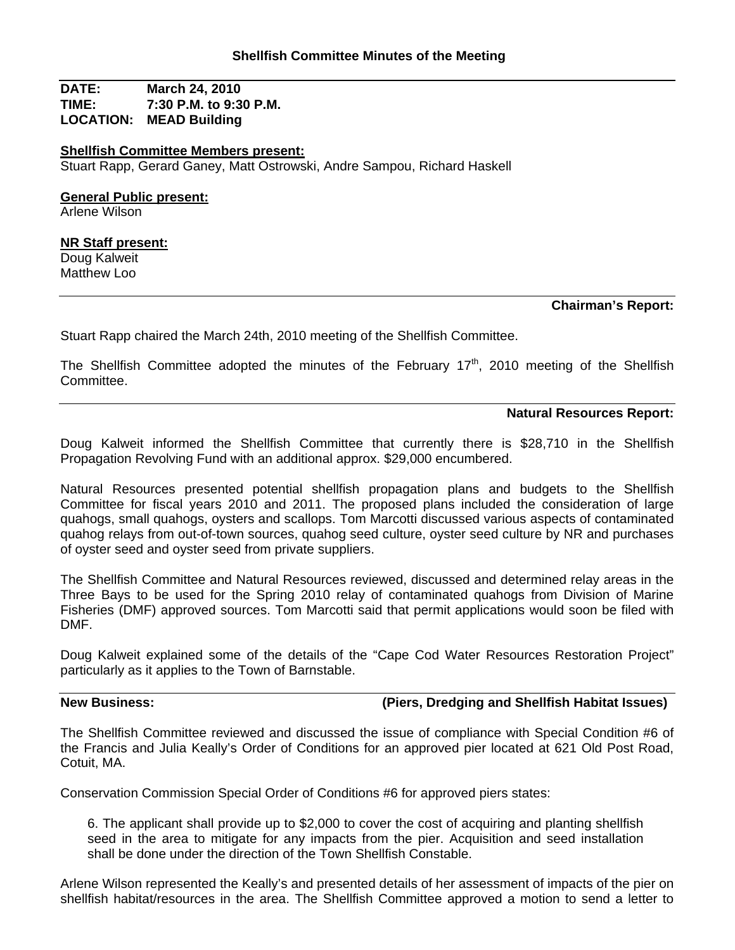**DATE: March 24, 2010 TIME: 7:30 P.M. to 9:30 P.M. LOCATION: MEAD Building**

**Shellfish Committee Members present:** Stuart Rapp, Gerard Ganey, Matt Ostrowski, Andre Sampou, Richard Haskell

### **General Public present:**

Arlene Wilson

#### **NR Staff present:**

Doug Kalweit Matthew Loo

## **Chairman's Report:**

Stuart Rapp chaired the March 24th, 2010 meeting of the Shellfish Committee.

The Shellfish Committee adopted the minutes of the February  $17<sup>th</sup>$ , 2010 meeting of the Shellfish Committee.

#### **Natural Resources Report:**

Doug Kalweit informed the Shellfish Committee that currently there is \$28,710 in the Shellfish Propagation Revolving Fund with an additional approx. \$29,000 encumbered.

Natural Resources presented potential shellfish propagation plans and budgets to the Shellfish Committee for fiscal years 2010 and 2011. The proposed plans included the consideration of large quahogs, small quahogs, oysters and scallops. Tom Marcotti discussed various aspects of contaminated quahog relays from out-of-town sources, quahog seed culture, oyster seed culture by NR and purchases of oyster seed and oyster seed from private suppliers.

The Shellfish Committee and Natural Resources reviewed, discussed and determined relay areas in the Three Bays to be used for the Spring 2010 relay of contaminated quahogs from Division of Marine Fisheries (DMF) approved sources. Tom Marcotti said that permit applications would soon be filed with DMF.

Doug Kalweit explained some of the details of the "Cape Cod Water Resources Restoration Project" particularly as it applies to the Town of Barnstable.

# **New Business: (Piers, Dredging and Shellfish Habitat Issues)**

The Shellfish Committee reviewed and discussed the issue of compliance with Special Condition #6 of the Francis and Julia Keally's Order of Conditions for an approved pier located at 621 Old Post Road, Cotuit, MA.

Conservation Commission Special Order of Conditions #6 for approved piers states:

6. The applicant shall provide up to \$2,000 to cover the cost of acquiring and planting shellfish seed in the area to mitigate for any impacts from the pier. Acquisition and seed installation shall be done under the direction of the Town Shellfish Constable.

Arlene Wilson represented the Keally's and presented details of her assessment of impacts of the pier on shellfish habitat/resources in the area. The Shellfish Committee approved a motion to send a letter to